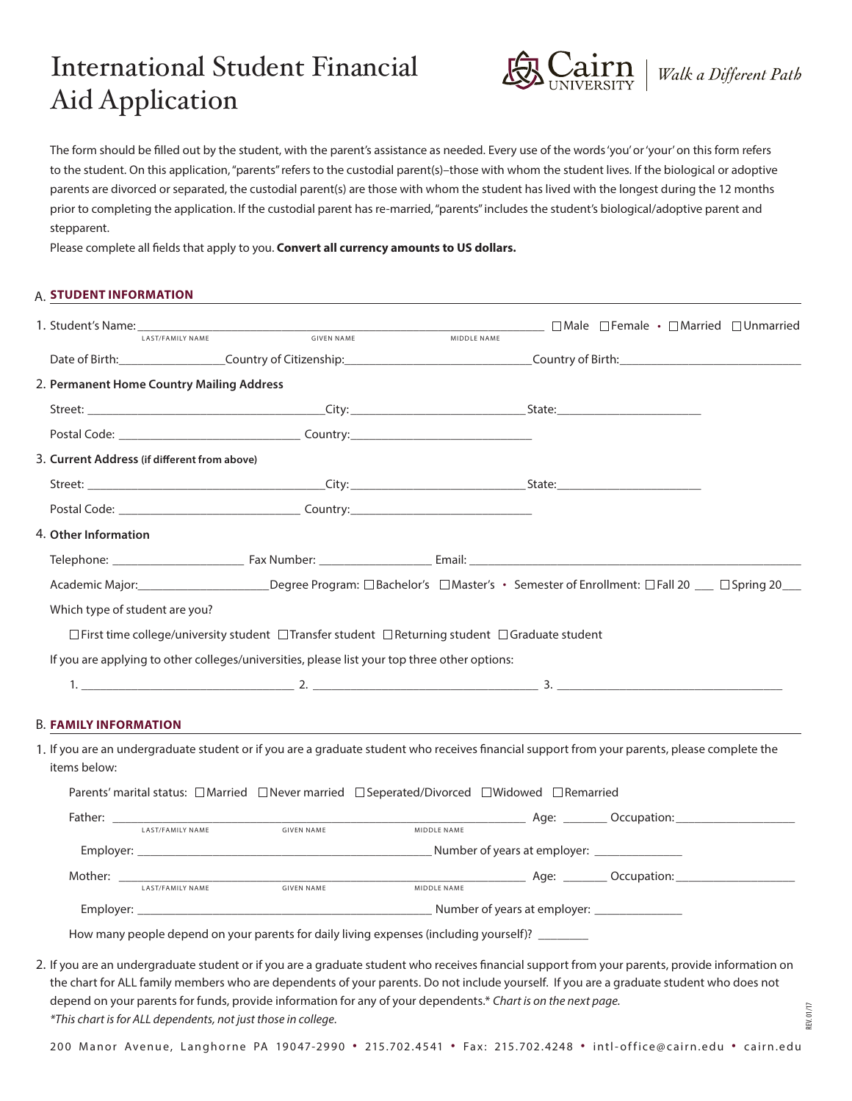# International Student Financial Aid Application



REV. 01/17

The form should be filled out by the student, with the parent's assistance as needed. Every use of the words 'you' or 'your' on this form refers to the student. On this application, "parents" refers to the custodial parent(s)–those with whom the student lives. If the biological or adoptive parents are divorced or separated, the custodial parent(s) are those with whom the student has lived with the longest during the 12 months prior to completing the application. If the custodial parent has re-married, "parents" includes the student's biological/adoptive parent and stepparent.

Please complete all fields that apply to you. **Convert all currency amounts to US dollars.**

## **STUDENT INFORMATION** A.

|                                              | <b>1. Student's Name:</b> LAST/FAMILY NAME <b>SIVEN NAME GIVEN NAME MIDDLE NAME</b>                                                           |             |  | $\Box$ Male $\Box$ Female $\cdot$ $\Box$ Married $\Box$ Unmarried |
|----------------------------------------------|-----------------------------------------------------------------------------------------------------------------------------------------------|-------------|--|-------------------------------------------------------------------|
|                                              | Date of Birth: Country of Citizenship: Country of Citizenship: Country of Birth:                                                              |             |  |                                                                   |
| 2. Permanent Home Country Mailing Address    |                                                                                                                                               |             |  |                                                                   |
|                                              |                                                                                                                                               |             |  |                                                                   |
|                                              |                                                                                                                                               |             |  |                                                                   |
| 3. Current Address (if different from above) |                                                                                                                                               |             |  |                                                                   |
|                                              |                                                                                                                                               |             |  |                                                                   |
|                                              |                                                                                                                                               |             |  |                                                                   |
| 4. Other Information                         |                                                                                                                                               |             |  |                                                                   |
|                                              |                                                                                                                                               |             |  |                                                                   |
|                                              |                                                                                                                                               |             |  |                                                                   |
|                                              | Academic Major: Degree Program: □Bachelor's □Master's • Semester of Enrollment: □Fall 20 __ □Spring 20 __                                     |             |  |                                                                   |
|                                              |                                                                                                                                               |             |  |                                                                   |
| Which type of student are you?               |                                                                                                                                               |             |  |                                                                   |
|                                              | $\Box$ First time college/university student $\Box$ Transfer student $\Box$ Returning student $\Box$ Graduate student                         |             |  |                                                                   |
|                                              | If you are applying to other colleges/universities, please list your top three other options:                                                 |             |  |                                                                   |
|                                              | 1. $\qquad \qquad$ 2. $\qquad \qquad$ 3. $\qquad \qquad$ 3.                                                                                   |             |  |                                                                   |
|                                              |                                                                                                                                               |             |  |                                                                   |
| <b>B. FAMILY INFORMATION</b>                 |                                                                                                                                               |             |  |                                                                   |
|                                              | 1. If you are an undergraduate student or if you are a graduate student who receives financial support from your parents, please complete the |             |  |                                                                   |
| items below:                                 |                                                                                                                                               |             |  |                                                                   |
|                                              | Parents' marital status: □ Married □ Never married □ Seperated/Divorced □ Widowed □ Remarried                                                 |             |  |                                                                   |
|                                              |                                                                                                                                               |             |  |                                                                   |
| LAST/FAMILY NAME                             | <b>GIVEN NAME</b>                                                                                                                             | MIDDLE NAME |  |                                                                   |
|                                              |                                                                                                                                               |             |  |                                                                   |
|                                              |                                                                                                                                               |             |  |                                                                   |
| Mother: LAST/FAMILY NAME                     |                                                                                                                                               |             |  |                                                                   |

the chart for ALL family members who are dependents of your parents. Do not include yourself. If you are a graduate student who does not depend on your parents for funds, provide information for any of your dependents.\* *Chart is on the next page. \*This chart is for ALL dependents, not just those in college.*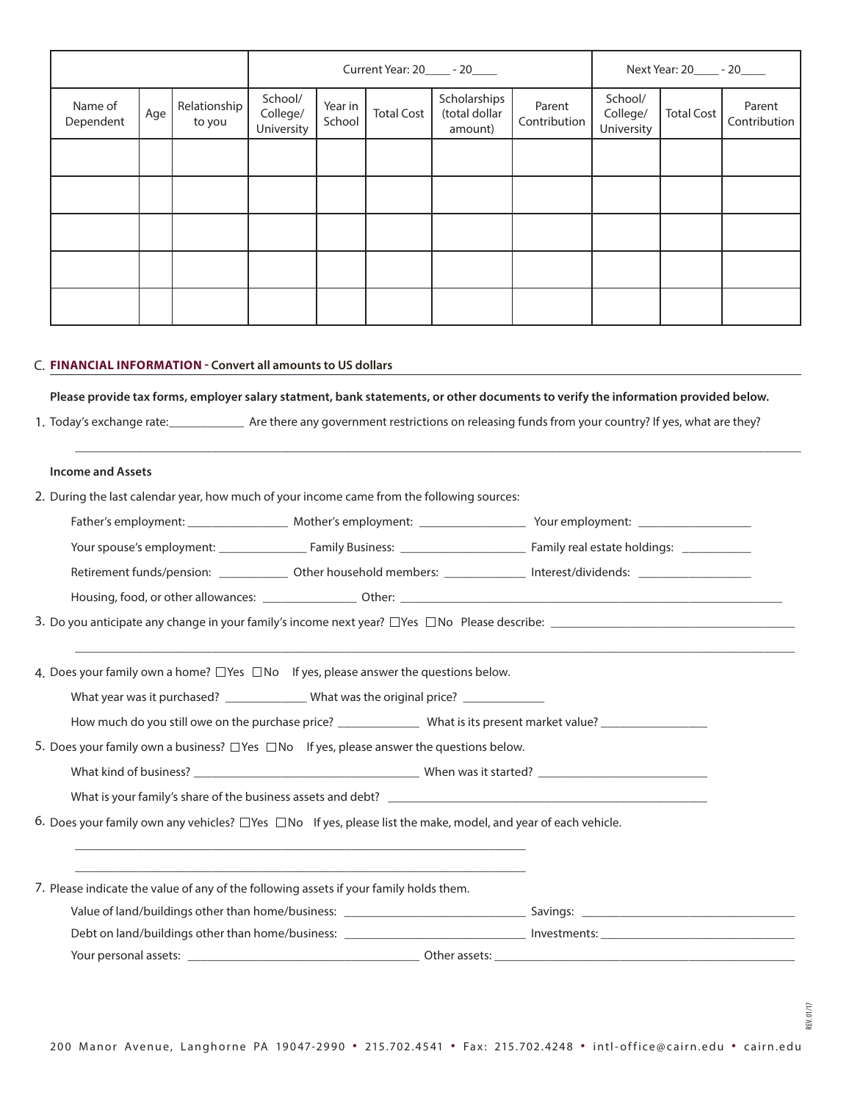|                      | Current Year: 20_____ - 20_____ |                        |                                   |                   | Next Year: 20______ - 20_____ |                                          |                        |                                   |                   |                        |
|----------------------|---------------------------------|------------------------|-----------------------------------|-------------------|-------------------------------|------------------------------------------|------------------------|-----------------------------------|-------------------|------------------------|
| Name of<br>Dependent | Age                             | Relationship<br>to you | School/<br>College/<br>University | Year in<br>School | <b>Total Cost</b>             | Scholarships<br>(total dollar<br>amount) | Parent<br>Contribution | School/<br>College/<br>University | <b>Total Cost</b> | Parent<br>Contribution |
|                      |                                 |                        |                                   |                   |                               |                                          |                        |                                   |                   |                        |
|                      |                                 |                        |                                   |                   |                               |                                          |                        |                                   |                   |                        |
|                      |                                 |                        |                                   |                   |                               |                                          |                        |                                   |                   |                        |
|                      |                                 |                        |                                   |                   |                               |                                          |                        |                                   |                   |                        |
|                      |                                 |                        |                                   |                   |                               |                                          |                        |                                   |                   |                        |

#### **FINANCIAL INFORMATION - Convert all amounts to US dollars** C.

**Please provide tax forms, employer salary statment, bank statements, or other documents to verify the information provided below.**

\_\_\_\_\_\_\_\_\_\_\_\_\_\_\_\_\_\_\_\_\_\_\_\_\_\_\_\_\_\_\_\_\_\_\_\_\_\_\_\_\_\_\_\_\_\_\_\_\_\_\_\_\_\_\_\_\_\_\_\_\_\_\_\_\_\_\_\_\_\_\_\_\_\_\_\_\_\_\_\_\_\_\_\_\_\_\_\_\_\_\_\_\_\_\_\_\_\_\_\_\_\_\_\_\_\_\_\_\_\_\_\_\_\_\_\_

1. Today's exchange rate: \_\_\_\_\_\_\_\_\_\_\_\_\_\_\_ Are there any government restrictions on releasing funds from your country? If yes, what are they?

### **Income and Assets**

| 2. During the last calendar year, how much of your income came from the following sources:                                |                                                                                                     |                                                                                                                               |  |  |  |  |  |  |  |
|---------------------------------------------------------------------------------------------------------------------------|-----------------------------------------------------------------------------------------------------|-------------------------------------------------------------------------------------------------------------------------------|--|--|--|--|--|--|--|
|                                                                                                                           |                                                                                                     |                                                                                                                               |  |  |  |  |  |  |  |
|                                                                                                                           |                                                                                                     |                                                                                                                               |  |  |  |  |  |  |  |
|                                                                                                                           |                                                                                                     | Retirement funds/pension: _______________ Other household members: ______________ Interest/dividends: _______________________ |  |  |  |  |  |  |  |
|                                                                                                                           |                                                                                                     |                                                                                                                               |  |  |  |  |  |  |  |
|                                                                                                                           |                                                                                                     |                                                                                                                               |  |  |  |  |  |  |  |
|                                                                                                                           |                                                                                                     |                                                                                                                               |  |  |  |  |  |  |  |
| 4. Does your family own a home? $\Box$ Yes $\Box$ No If yes, please answer the questions below.                           |                                                                                                     |                                                                                                                               |  |  |  |  |  |  |  |
|                                                                                                                           | What year was it purchased? ________________ What was the original price? _____________             |                                                                                                                               |  |  |  |  |  |  |  |
|                                                                                                                           |                                                                                                     |                                                                                                                               |  |  |  |  |  |  |  |
|                                                                                                                           | 5. Does your family own a business? $\Box$ Yes $\Box$ No If yes, please answer the questions below. |                                                                                                                               |  |  |  |  |  |  |  |
|                                                                                                                           |                                                                                                     |                                                                                                                               |  |  |  |  |  |  |  |
|                                                                                                                           |                                                                                                     |                                                                                                                               |  |  |  |  |  |  |  |
| 6. Does your family own any vehicles? $\Box$ Yes $\Box$ No If yes, please list the make, model, and year of each vehicle. |                                                                                                     |                                                                                                                               |  |  |  |  |  |  |  |
|                                                                                                                           |                                                                                                     |                                                                                                                               |  |  |  |  |  |  |  |
|                                                                                                                           |                                                                                                     |                                                                                                                               |  |  |  |  |  |  |  |
| 7. Please indicate the value of any of the following assets if your family holds them.                                    |                                                                                                     |                                                                                                                               |  |  |  |  |  |  |  |
|                                                                                                                           |                                                                                                     |                                                                                                                               |  |  |  |  |  |  |  |
|                                                                                                                           |                                                                                                     |                                                                                                                               |  |  |  |  |  |  |  |
|                                                                                                                           |                                                                                                     |                                                                                                                               |  |  |  |  |  |  |  |